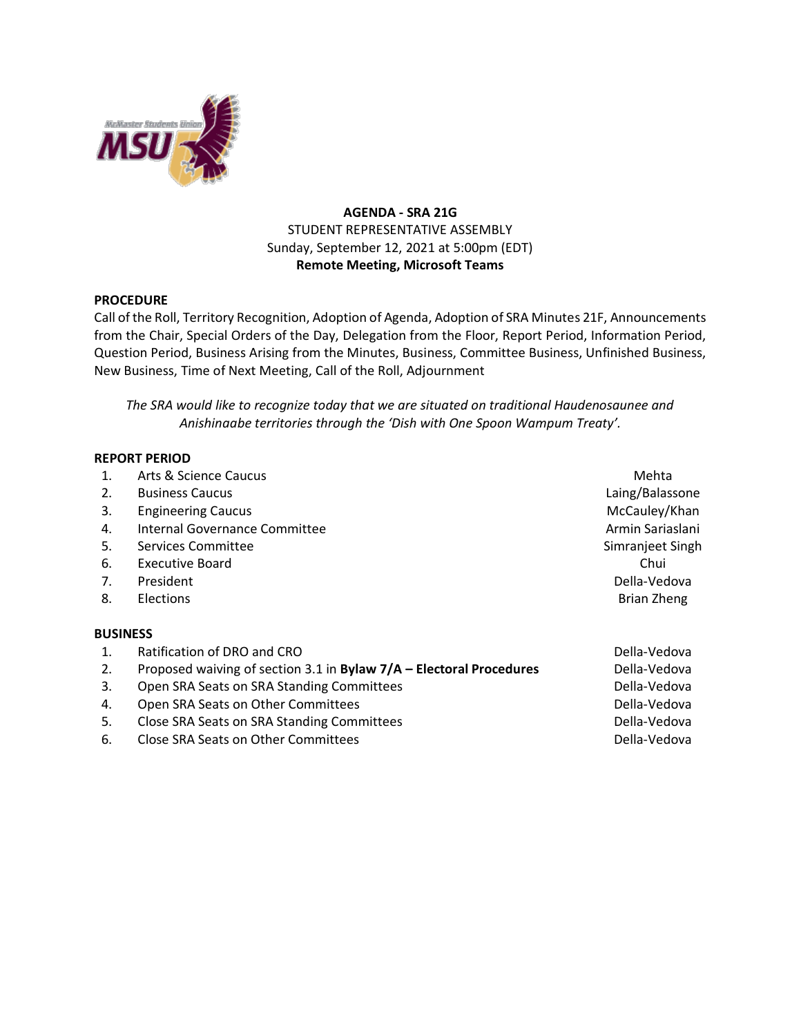

## **AGENDA - SRA 21G** STUDENT REPRESENTATIVE ASSEMBLY Sunday, September 12, 2021 at 5:00pm (EDT) **Remote Meeting, Microsoft Teams**

## **PROCEDURE**

Call of the Roll, Territory Recognition, Adoption of Agenda, Adoption of SRA Minutes 21F, Announcements from the Chair, Special Orders of the Day, Delegation from the Floor, Report Period, Information Period, Question Period, Business Arising from the Minutes, Business, Committee Business, Unfinished Business, New Business, Time of Next Meeting, Call of the Roll, Adjournment

*The SRA would like to recognize today that we are situated on traditional Haudenosaunee and Anishinaabe territories through the 'Dish with One Spoon Wampum Treaty'.*

## **REPORT PERIOD**

| 1. | Arts & Science Caucus                                               | Mehta              |
|----|---------------------------------------------------------------------|--------------------|
| 2. | <b>Business Caucus</b>                                              | Laing/Balassone    |
| 3. | <b>Engineering Caucus</b>                                           | McCauley/Khan      |
| 4. | Internal Governance Committee                                       | Armin Sariaslani   |
| 5. | Services Committee                                                  | Simranjeet Singh   |
| 6. | <b>Executive Board</b>                                              | Chui               |
| 7. | President                                                           | Della-Vedova       |
| 8. | <b>Elections</b>                                                    | <b>Brian Zheng</b> |
|    | <b>BUSINESS</b>                                                     |                    |
| 1. | Ratification of DRO and CRO                                         | Della-Vedova       |
| 2. | Proposed waiving of section 3.1 in Bylaw 7/A – Electoral Procedures | Della-Vedova       |
| 3. | Open SRA Seats on SRA Standing Committees                           | Della-Vedova       |
| 4. | Open SRA Seats on Other Committees                                  | Della-Vedova       |
| 5. | Close SRA Seats on SRA Standing Committees                          | Della-Vedova       |
| 6. | Close SRA Seats on Other Committees                                 | Della-Vedova       |